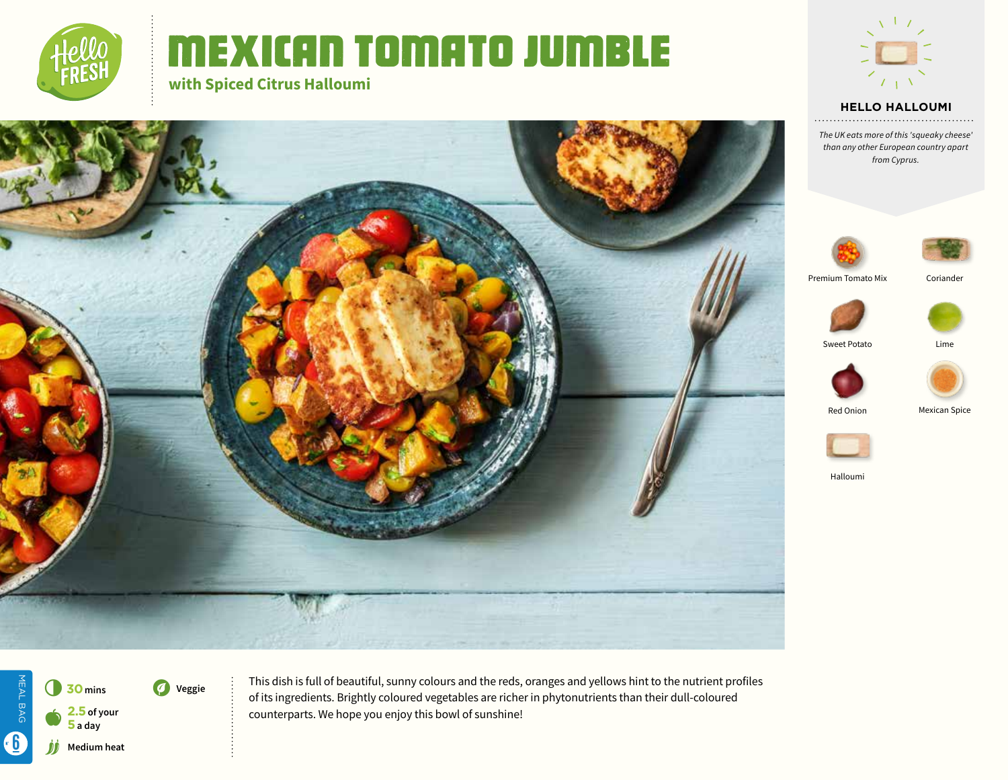

MEAL BAG

MEAL BAG

6

**Medium heat** 

6**<sup>30</sup>mins** a **2.5 of your 5 a day**

*<u>D* Veggie</u>

# Mexican Tomato Jumble **with Spiced Citrus Halloumi**



### **HELLO HALLOUMI**

*The UK eats more of this 'squeaky cheese' than any other European country apart from Cyprus.*





Premium Tomato Mix





Sweet Potato Lime









Halloumi

counterparts. We hope you enjoy this bowl of sunshine!

This dish is full of beautiful, sunny colours and the reds, oranges and yellows hint to the nutrient profiles of its ingredients. Brightly coloured vegetables are richer in phytonutrients than their dull-coloured